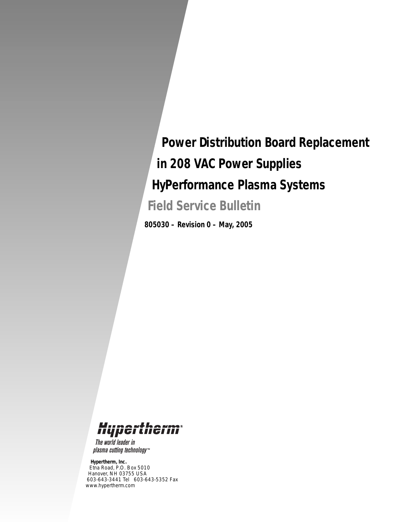# *Power Distribution Board Replacement in 208 VAC Power Supplies HyPerformance Plasma Systems*

*Field Service Bulletin*

*805030 – Revision 0 – May, 2005*

# Hypertherm

The world leader in plasma cutting technology™

#### *Hypertherm, Inc.*

*Etna Road, P.O. Box 5010 Hanover, NH 03755 USA 603-643-3441 Tel 603-643-5352 Fax www.hypertherm.com*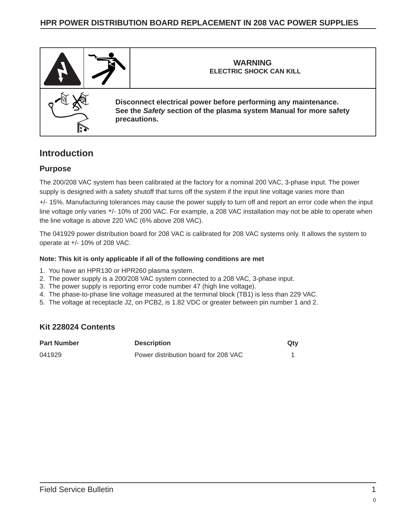# **HPR POWER DISTRIBUTION BOARD REPLACEMENT IN 208 VAC POWER SUPPLIES**



# **Introduction**

### **Purpose**

The 200/208 VAC system has been calibrated at the factory for a nominal 200 VAC, 3-phase input. The power supply is designed with a safety shutoff that turns off the system if the input line voltage varies more than

+/- 15%. Manufacturing tolerances may cause the power supply to turn off and report an error code when the input line voltage only varies +/- 10% of 200 VAC. For example, a 208 VAC installation may not be able to operate when the line voltage is above 220 VAC (6% above 208 VAC).

The 041929 power distribution board for 208 VAC is calibrated for 208 VAC systems only. It allows the system to operate at +/- 10% of 208 VAC.

#### **Note: This kit is only applicable if all of the following conditions are met**

- 1. You have an HPR130 or HPR260 plasma system.
- 2. The power supply is a 200/208 VAC system connected to a 208 VAC, 3-phase input.
- 3. The power supply is reporting error code number 47 (high line voltage).
- 4. The phase-to-phase line voltage measured at the terminal block (TB1) is less than 229 VAC.
- 5. The voltage at receptacle J2, on PCB2, is 1.82 VDC or greater between pin number 1 and 2.

### **Kit 228024 Contents**

| <b>Part Number</b> | <b>Description</b>                   | Qty |
|--------------------|--------------------------------------|-----|
| 041929             | Power distribution board for 208 VAC |     |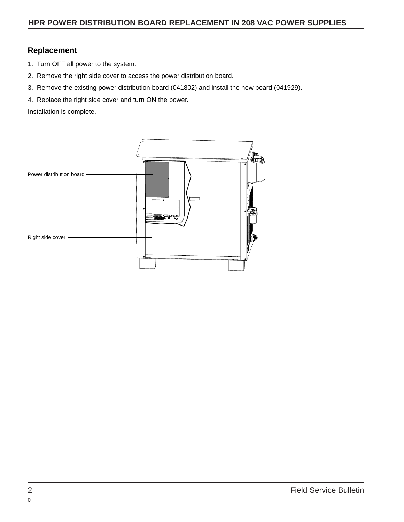# **Replacement**

- 1. Turn OFF all power to the system.
- 2. Remove the right side cover to access the power distribution board.
- 3. Remove the existing power distribution board (041802) and install the new board (041929).
- 4. Replace the right side cover and turn ON the power.

Installation is complete.